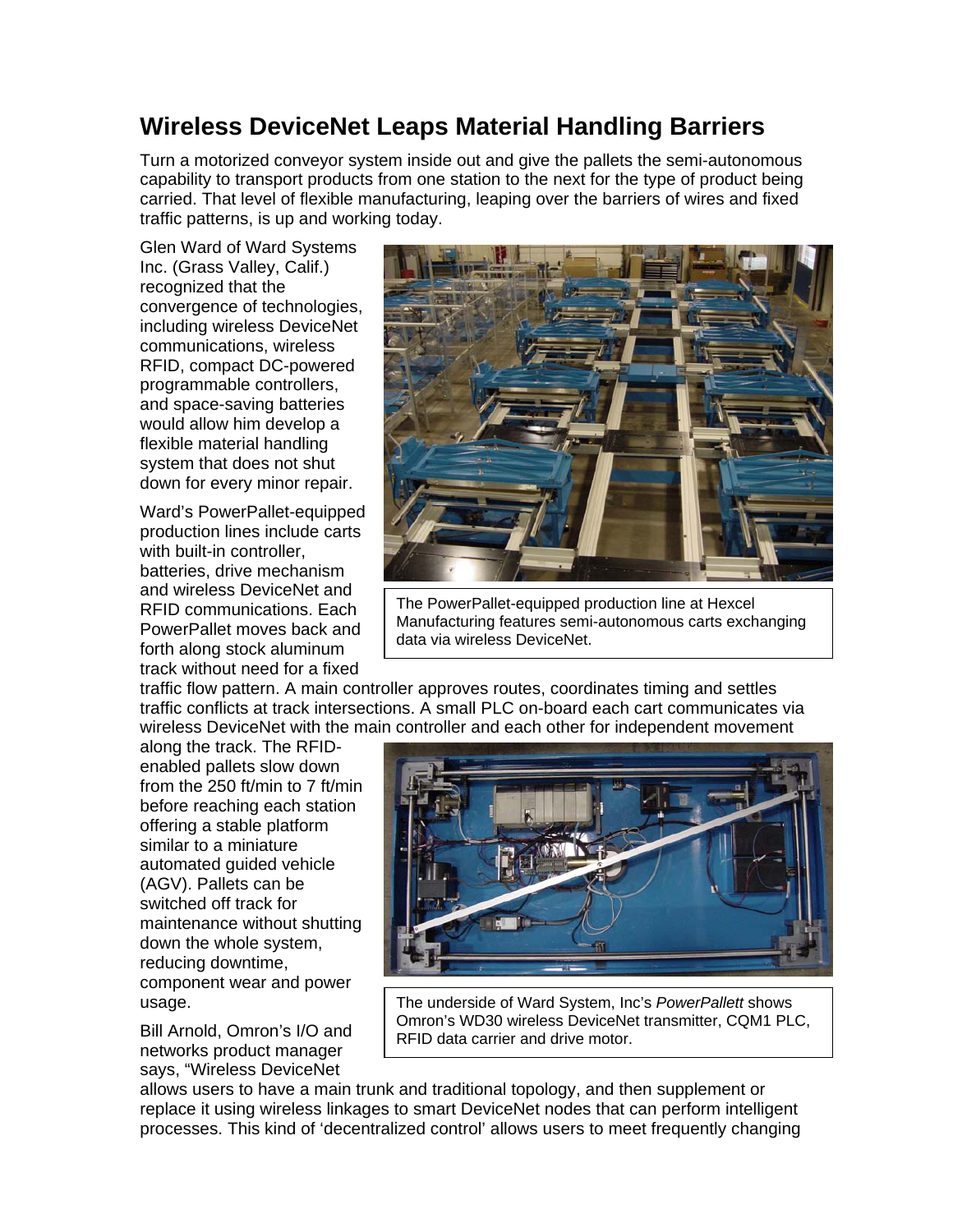## **Wireless DeviceNet Leaps Material Handling Barriers**

Turn a motorized conveyor system inside out and give the pallets the semi-autonomous capability to transport products from one station to the next for the type of product being carried. That level of flexible manufacturing, leaping over the barriers of wires and fixed traffic patterns, is up and working today.

Glen Ward of Ward Systems Inc. (Grass Valley, Calif.) recognized that the convergence of technologies, including wireless DeviceNet communications, wireless RFID, compact DC-powered programmable controllers, and space-saving batteries would allow him develop a flexible material handling system that does not shut down for every minor repair.

Ward's PowerPallet-equipped production lines include carts with built-in controller. batteries, drive mechanism and wireless DeviceNet and RFID communications. Each PowerPallet moves back and forth along stock aluminum track without need for a fixed



The PowerPallet-equipped production line at Hexcel Manufacturing features semi-autonomous carts exchanging data via wireless DeviceNet.

traffic flow pattern. A main controller approves routes, coordinates timing and settles traffic conflicts at track intersections. A small PLC on-board each cart communicates via wireless DeviceNet with the main controller and each other for independent movement

along the track. The RFIDenabled pallets slow down from the 250 ft/min to 7 ft/min before reaching each station offering a stable platform similar to a miniature automated guided vehicle (AGV). Pallets can be switched off track for maintenance without shutting down the whole system, reducing downtime, component wear and power usage.

Bill Arnold, Omron's I/O and networks product manager says, "Wireless DeviceNet



The underside of Ward System, Inc's *PowerPallett* shows Omron's WD30 wireless DeviceNet transmitter, CQM1 PLC, RFID data carrier and drive motor.

allows users to have a main trunk and traditional topology, and then supplement or replace it using wireless linkages to smart DeviceNet nodes that can perform intelligent processes. This kind of 'decentralized control' allows users to meet frequently changing